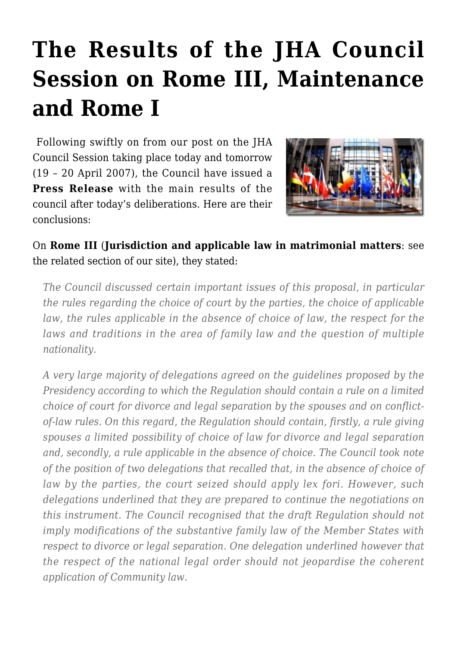# **[The Results of the JHA Council](https://conflictoflaws.net/2007/the-results-of-the-jha-council-session-on-rome-iii-maintenance-and-rome-i/) [Session on Rome III, Maintenance](https://conflictoflaws.net/2007/the-results-of-the-jha-council-session-on-rome-iii-maintenance-and-rome-i/) [and Rome I](https://conflictoflaws.net/2007/the-results-of-the-jha-council-session-on-rome-iii-maintenance-and-rome-i/)**

 Following swiftly on from [our post on the JHA](https://conflictoflaws.de/2007/legislation/justice-and-home-affairs-council-session-in-luxembourg-19-20-april-2007/) [Council Session](https://conflictoflaws.de/2007/legislation/justice-and-home-affairs-council-session-in-luxembourg-19-20-april-2007/) taking place today and tomorrow (19 – 20 April 2007), the Council have issued a **[Press Release](http://www.consilium.europa.eu/uedocs/cms_Data/docs/pressdata/en/jha/93741.pdf)** with the main results of the council after today's deliberations. Here are their conclusions:



On **[Rome III](http://register.consilium.europa.eu/pdf/en/07/st05/st05274.en07.pdf)** (**Jurisdiction and applicable law in matrimonial matters**: see the [related section](https://conflictoflaws.de/category/legislation/rome-iii/) of our site), they stated:

*The Council discussed certain important issues of this proposal, in particular the rules regarding the choice of court by the parties, the choice of applicable law, the rules applicable in the absence of choice of law, the respect for the laws and traditions in the area of family law and the question of multiple nationality.*

*A very large majority of delegations agreed on the guidelines proposed by the Presidency according to which the Regulation should contain a rule on a limited choice of court for divorce and legal separation by the spouses and on conflictof-law rules. On this regard, the Regulation should contain, firstly, a rule giving spouses a limited possibility of choice of law for divorce and legal separation and, secondly, a rule applicable in the absence of choice. The Council took note of the position of two delegations that recalled that, in the absence of choice of law by the parties, the court seized should apply lex fori. However, such delegations underlined that they are prepared to continue the negotiations on this instrument. The Council recognised that the draft Regulation should not imply modifications of the substantive family law of the Member States with respect to divorce or legal separation. One delegation underlined however that the respect of the national legal order should not jeopardise the coherent application of Community law.*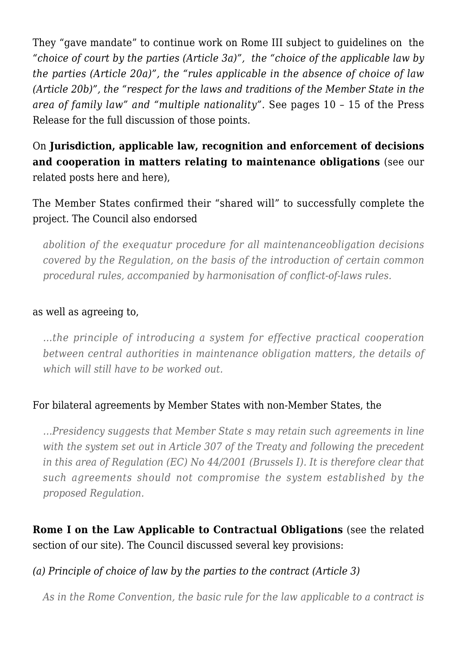They "gave mandate" to continue work on Rome III subject to guidelines on the *"choice of court by the parties (Article 3a)", the "choice of the applicable law by the parties (Article 20a)", the "rules applicable in the absence of choice of law (Article 20b)", the "respect for the laws and traditions of the Member State in the area of family law" and "multiple nationality".* See pages 10 – 15 of the Press Release for the full discussion of those points.

On **Jurisdiction, applicable law, recognition and enforcement of decisions and cooperation in matters relating to [maintenance obligations](http://register.consilium.europa.eu/pdf/de/06/st16/st16830.de06.pdf)** (see our related posts [here](https://conflictoflaws.de/2006/articles/applicable-law-concerning-maintenance-obligations/) and [here](https://conflictoflaws.de/2006/legislation/edps-opinion-on-maintenance-obligations-regulation-proposal/)),

The Member States confirmed their "shared will" to successfully complete the project. The Council also endorsed

*abolition of the exequatur procedure for all maintenanceobligation decisions covered by the Regulation, on the basis of the introduction of certain common procedural rules, accompanied by harmonisation of conflict-of-laws rules.*

#### as well as agreeing to,

*…the principle of introducing a system for effective practical cooperation between central authorities in maintenance obligation matters, the details of which will still have to be worked out.*

### For bilateral agreements by Member States with non-Member States, the

*…Presidency suggests that Member State s may retain such agreements in line with the system set out in Article 307 of the Treaty and following the precedent in this area of Regulation (EC) No 44/2001 (Brussels I). It is therefore clear that such agreements should not compromise the system established by the proposed Regulation.*

## **[Rome I](http://ec.europa.eu/prelex/detail_dossier_real.cfm?CL=en&DosId=193666) on the Law Applicable to Contractual Obligations** (see the [related](https://conflictoflaws.de/category/legislation/rome-i/) [section](https://conflictoflaws.de/category/legislation/rome-i/) of our site). The Council discussed several key provisions:

### *(a) Principle of choice of law by the parties to the contract (Article 3)*

*As in the Rome Convention, the basic rule for the law applicable to a contract is*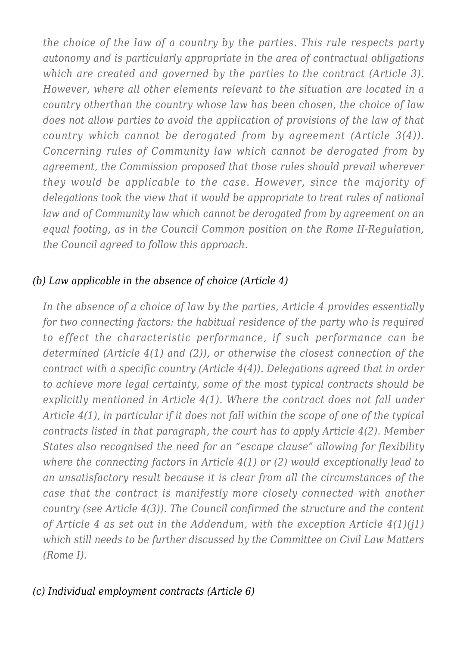*the choice of the law of a country by the parties. This rule respects party autonomy and is particularly appropriate in the area of contractual obligations which are created and governed by the parties to the contract (Article 3). However, where all other elements relevant to the situation are located in a country otherthan the country whose law has been chosen, the choice of law does not allow parties to avoid the application of provisions of the law of that country which cannot be derogated from by agreement (Article 3(4)). Concerning rules of Community law which cannot be derogated from by agreement, the Commission proposed that those rules should prevail wherever they would be applicable to the case. However, since the majority of delegations took the view that it would be appropriate to treat rules of national law and of Community law which cannot be derogated from by agreement on an equal footing, as in the Council Common position on the Rome II-Regulation, the Council agreed to follow this approach.*

## *(b) Law applicable in the absence of choice (Article 4)*

*In the absence of a choice of law by the parties, Article 4 provides essentially for two connecting factors: the habitual residence of the party who is required to effect the characteristic performance, if such performance can be determined (Article 4(1) and (2)), or otherwise the closest connection of the contract with a specific country (Article 4(4)). Delegations agreed that in order to achieve more legal certainty, some of the most typical contracts should be explicitly mentioned in Article 4(1). Where the contract does not fall under Article 4(1), in particular if it does not fall within the scope of one of the typical contracts listed in that paragraph, the court has to apply Article 4(2). Member States also recognised the need for an "escape clause" allowing for flexibility where the connecting factors in Article 4(1) or (2) would exceptionally lead to an unsatisfactory result because it is clear from all the circumstances of the case that the contract is manifestly more closely connected with another country (see Article 4(3)). The Council confirmed the structure and the content of Article 4 as set out in the Addendum, with the exception Article 4(1)(j1) which still needs to be further discussed by the Committee on Civil Law Matters (Rome I).*

## *(c) Individual employment contracts (Article 6)*